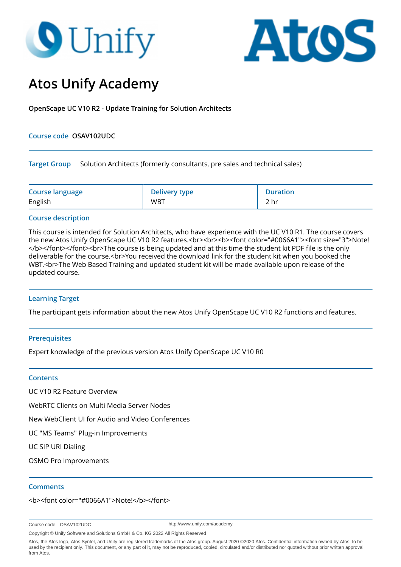# **O** Unify



# **Atos Unify Academy**

**OpenScape UC V10 R2 - Update Training for Solution Architects**

#### **Course code OSAV102UDC**

**Target Group** Solution Architects (formerly consultants, pre sales and technical sales)

| <b>Course language</b> | <b>Delivery type</b> | <b>Duration</b> |
|------------------------|----------------------|-----------------|
| English                | <b>WBT</b>           | 2 hr            |

# **Course description**

This course is intended for Solution Architects, who have experience with the UC V10 R1. The course covers the new Atos Unify OpenScape UC V10 R2 features.<br><br><b><font color="#0066A1"><font size="3">Note! </b></font></font><br>>>br>The course is being updated and at this time the student kit PDF file is the only deliverable for the course.<br>You received the download link for the student kit when you booked the WBT.<br>The Web Based Training and updated student kit will be made available upon release of the updated course.

# **Learning Target**

The participant gets information about the new Atos Unify OpenScape UC V10 R2 functions and features.

# **Prerequisites**

Expert knowledge of the previous version Atos Unify OpenScape UC V10 R0

#### **Contents**

UC V10 R2 Feature Overview

WebRTC Clients on Multi Media Server Nodes

New WebClient UI for Audio and Video Conferences

UC "MS Teams" Plug-in Improvements

UC SIP URI Dialing

OSMO Pro Improvements

#### **Comments**

<b><font color="#0066A1">Note!</b></font>

Course code OSAV102UDC

http://www.unify.com/academy

Copyright © Unify Software and Solutions GmbH & Co. KG 2022 All Rights Reserved

Atos, the Atos logo, Atos Syntel, and Unify are registered trademarks of the Atos group. August 2020 ©2020 Atos. Confidential information owned by Atos, to be used by the recipient only. This document, or any part of it, may not be reproduced, copied, circulated and/or distributed nor quoted without prior written approval from Atos.